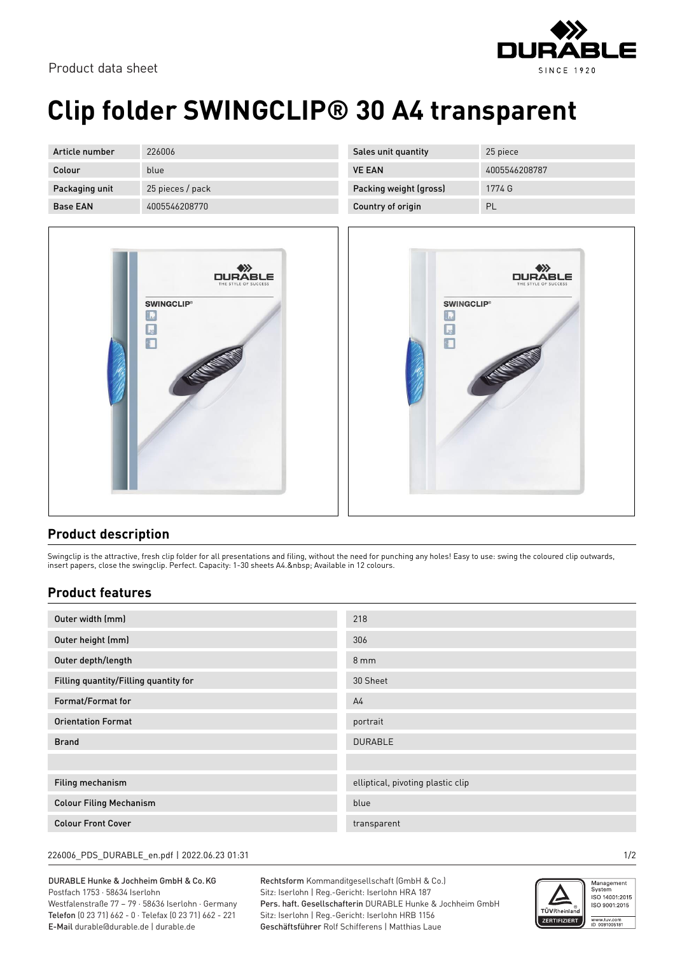



## **Clip folder SWINGCLIP® 30 A4 transparent**

| Article number  | 226006           |
|-----------------|------------------|
| Colour          | blue             |
| Packaging unit  | 25 pieces / pack |
| <b>Base FAN</b> | 4005546208770    |



| Sales unit quantity    | 25 piece      |
|------------------------|---------------|
| <b>VE FAN</b>          | 4005546208787 |
| Packing weight (gross) | 1774 G        |
| Country of origin      | ΡI            |



## **Product description**

Swingclip is the attractive, fresh clip folder for all presentations and filing, without the need for punching any holes! Easy to use: swing the coloured clip outwards, insert papers, close the swingclip. Perfect. Capacity: 1-30 sheets A4. Available in 12 colours.

## **Product features**

| Outer width (mm)                      | 218                               |
|---------------------------------------|-----------------------------------|
| Outer height (mm)                     | 306                               |
| Outer depth/length                    | $8 \, \text{mm}$                  |
| Filling quantity/Filling quantity for | 30 Sheet                          |
| Format/Format for                     | A <sub>4</sub>                    |
| <b>Orientation Format</b>             | portrait                          |
| <b>Brand</b>                          | <b>DURABLE</b>                    |
|                                       |                                   |
| Filing mechanism                      | elliptical, pivoting plastic clip |
| <b>Colour Filing Mechanism</b>        | blue                              |
| <b>Colour Front Cover</b>             | transparent                       |

226006\_PDS\_DURABLE\_en.pdf | 2022.06.23 01:31 1/2

DURABLE Hunke & Jochheim GmbH & Co.KG Postfach 1753 · 58634 Iserlohn Westfalenstraße 77 – 79 · 58636 Iserlohn · Germany Telefon (0 23 71) 662 - 0 · Telefax (0 23 71) 662 - 221 E-Mail durable@durable.de | durable.de

Rechtsform Kommanditgesellschaft (GmbH & Co.) Sitz: Iserlohn | Reg.-Gericht: Iserlohn HRA 187 Pers. haft. Gesellschafterin DURABLE Hunke & Jochheim GmbH Sitz: Iserlohn | Reg.-Gericht: Iserlohn HRB 1156 Geschäftsführer Rolf Schifferens | Matthias Laue